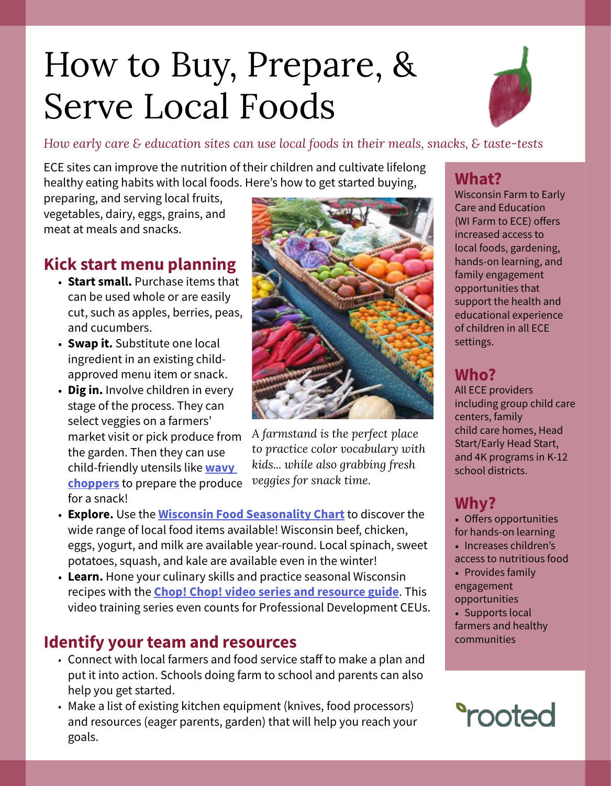# How to Buy, Prepare, & Serve Local Foods



#### *How early care & education sites can use local foods in their meals, snacks, & taste-tests*

ECE sites can improve the nutrition of their children and cultivate lifelong healthy eating habits with local foods. Here's how to get started buying,

preparing, and serving local fruits, vegetables, dairy, eggs, grains, and meat at meals and snacks.

#### **Kick start menu planning**

- **Start small.** Purchase items that can be used whole or are easily cut, such as apples, berries, peas, and cucumbers.
- **Swap it.** Substitute one local ingredient in an existing childapproved menu item or snack.
- **Dig in.** Involve children in every stage of the process. They can select veggies on a farmers' market visit or pick produce from the garden. Then they can use child-friendly utensils like **[wavy](http://www.forsmallhands.com/wavy-chopper?q=d104)  [choppers](http://www.forsmallhands.com/wavy-chopper?q=d104)** to prepare the produce for a snack!



*A farmstand is the perfect place to practice color vocabulary with kids... while also grabbing fresh veggies for snack time.* 

- **Explore.** Use the **[Wisconsin Food Seasonality Chart](http://www.cias.wisc.edu/foodservtools/2-Get-started/wisconsin-produce-calendar.pdf)** to discover the wide range of local food items available! Wisconsin beef, chicken, eggs, yogurt, and milk are available year-round. Local spinach, sweet potatoes, squash, and kale are available even in the winter!
- **Learn.** Hone your culinary skills and practice seasonal Wisconsin recipes with the **[Chop! Chop! video series and resource guide](http://www.cias.wisc.edu/chopchop/)**. This video training series even counts for Professional Development CEUs.

#### **Identify your team and resources**

- Connect with local farmers and food service staff to make a plan and put it into action. Schools doing farm to school and parents can also help you get started.
- Make a list of existing kitchen equipment (knives, food processors) and resources (eager parents, garden) that will help you reach your goals.

# **What?**

Wisconsin Farm to Early Care and Education (WI Farm to ECE) offers increased access to local foods, gardening, hands-on learning, and family engagement opportunities that support the health and educational experience of children in all ECE settings.

# **Who?**

All ECE providers including group child care centers, family child care homes, Head Start/Early Head Start, and 4K programs in K-12 school districts.

#### **Why?**

- Offers opportunities for hands-on learning
- Increases children's access to nutritious food
- Provides family engagement opportunities
- Supports local farmers and healthy communities